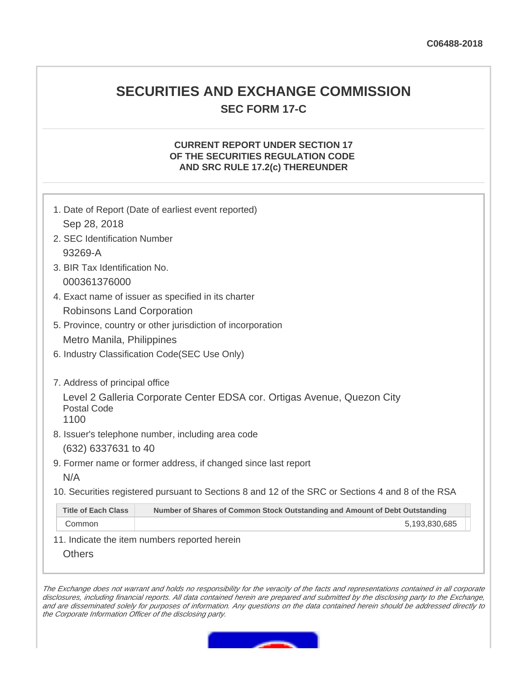# **SECURITIES AND EXCHANGE COMMISSION SEC FORM 17-C**

# **CURRENT REPORT UNDER SECTION 17 OF THE SECURITIES REGULATION CODE AND SRC RULE 17.2(c) THEREUNDER**

|                                | 1. Date of Report (Date of earliest event reported)                                               |
|--------------------------------|---------------------------------------------------------------------------------------------------|
| Sep 28, 2018                   |                                                                                                   |
| 2. SEC Identification Number   |                                                                                                   |
| 93269-A                        |                                                                                                   |
| 3. BIR Tax Identification No.  |                                                                                                   |
| 000361376000                   |                                                                                                   |
|                                | 4. Exact name of issuer as specified in its charter                                               |
| Robinsons Land Corporation     |                                                                                                   |
|                                | 5. Province, country or other jurisdiction of incorporation                                       |
| Metro Manila, Philippines      |                                                                                                   |
|                                | 6. Industry Classification Code (SEC Use Only)                                                    |
|                                |                                                                                                   |
| 7. Address of principal office |                                                                                                   |
|                                | Level 2 Galleria Corporate Center EDSA cor. Ortigas Avenue, Quezon City                           |
| Postal Code<br>1100            |                                                                                                   |
|                                | 8. Issuer's telephone number, including area code                                                 |
| (632) 6337631 to 40            |                                                                                                   |
|                                | 9. Former name or former address, if changed since last report                                    |
| N/A                            |                                                                                                   |
|                                | 10. Securities registered pursuant to Sections 8 and 12 of the SRC or Sections 4 and 8 of the RSA |
| <b>Title of Each Class</b>     | Number of Shares of Common Stock Outstanding and Amount of Debt Outstanding                       |
| Common                         | 5,193,830,685                                                                                     |

11. Indicate the item numbers reported herein

**Others** 

The Exchange does not warrant and holds no responsibility for the veracity of the facts and representations contained in all corporate disclosures, including financial reports. All data contained herein are prepared and submitted by the disclosing party to the Exchange, and are disseminated solely for purposes of information. Any questions on the data contained herein should be addressed directly to the Corporate Information Officer of the disclosing party.

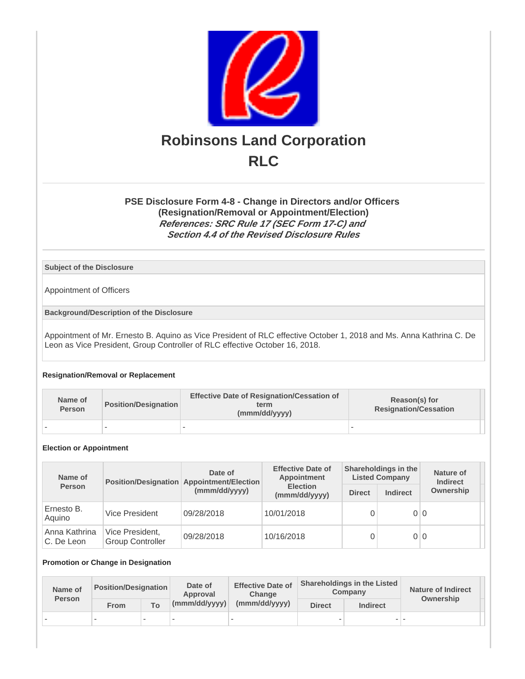

# **PSE Disclosure Form 4-8 - Change in Directors and/or Officers (Resignation/Removal or Appointment/Election) References: SRC Rule 17 (SEC Form 17-C) and Section 4.4 of the Revised Disclosure Rules**

## **Subject of the Disclosure**

Appointment of Officers

**Background/Description of the Disclosure**

Appointment of Mr. Ernesto B. Aquino as Vice President of RLC effective October 1, 2018 and Ms. Anna Kathrina C. De Leon as Vice President, Group Controller of RLC effective October 16, 2018.

## **Resignation/Removal or Replacement**

| Name of<br>Person | <b>Position/Designation</b> | <b>Effective Date of Resignation/Cessation of</b><br>term<br>(mmm/dd/yyyy) | Reason(s) for<br><b>Resignation/Cessation</b> |  |
|-------------------|-----------------------------|----------------------------------------------------------------------------|-----------------------------------------------|--|
|                   |                             |                                                                            |                                               |  |

#### **Election or Appointment**

| Name of                     |                                            | Date of<br>Position/Designation Appointment/Election | <b>Effective Date of</b><br>Appointment |               | Shareholdings in the<br><b>Listed Company</b> | Nature of<br><b>Indirect</b> |
|-----------------------------|--------------------------------------------|------------------------------------------------------|-----------------------------------------|---------------|-----------------------------------------------|------------------------------|
| <b>Person</b>               |                                            | (mmm/dd/yyyy)                                        | <b>Election</b><br>(mmm/dd/yyyy)        | <b>Direct</b> | <b>Indirect</b>                               | Ownership                    |
| Ernesto B.<br>Aquino        | Vice President                             | 09/28/2018                                           | 10/01/2018                              |               | 0 0                                           |                              |
| Anna Kathrina<br>C. De Leon | Vice President,<br><b>Group Controller</b> | 09/28/2018                                           | 10/16/2018                              |               | 0 0                                           |                              |

#### **Promotion or Change in Designation**

| Name of<br><b>Person</b> | <b>Position/Designation</b> |                          | Date of<br>Approval    | <b>Effective Date of</b><br>Change | <b>Shareholdings in the Listed</b><br>Company |                 | <b>Nature of Indirect</b><br>Ownership |  |
|--------------------------|-----------------------------|--------------------------|------------------------|------------------------------------|-----------------------------------------------|-----------------|----------------------------------------|--|
|                          | From                        | To                       | $\lceil$ (mmm/dd/yyyy) | (mmm/dd/yyyy)                      | <b>Direct</b>                                 | <b>Indirect</b> |                                        |  |
|                          | $\overline{\phantom{a}}$    | $\overline{\phantom{a}}$ | $\sim$                 | $\overline{\phantom{a}}$           | $\overline{\phantom{a}}$                      |                 |                                        |  |